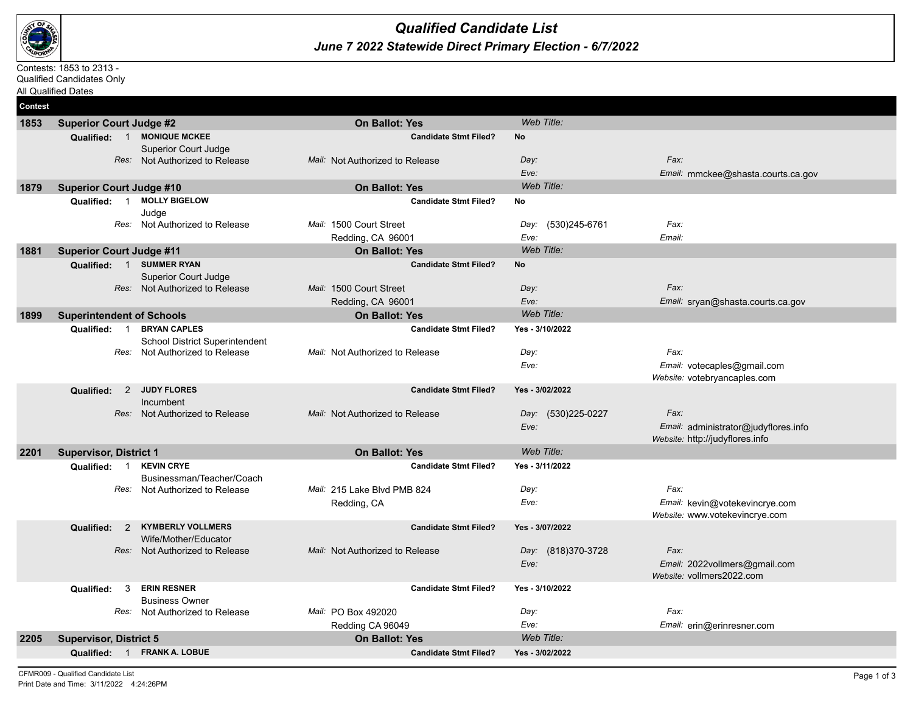

## *June 7 2022 Statewide Direct Primary Election - 6/7/2022 Qualified Candidate List*

## Contests: 1853 to 2313 -

Qualified Candidates Only All Qualified Dates

**Contest 1853 Superior Court Judge #2 On Ballot: Yes** *Web Title:* **Qualified:** 1 **MONIQUE MCKEE Candidate Stmt Filed? No** Superior Court Judge *Res:* Not Authorized to Release *Mail:* Not Authorized to Release *Day: Eve: Fax: Email:* mmckee@shasta.courts.ca.gov **1879 Superior Court Judge #10 On Ballot: Yes** *Web Title:* **Qualified:** 1 **MOLLY BIGELOW Candidate Stmt Filed? No** Judge *Res:* Not Authorized to Release *Mail:* 1500 Court Street Redding, CA 96001 *Day: Eve:* (530)245-6761 *Fax: Email:* **1881 Superior Court Judge #11 On Ballot: Yes** *Web Title:* **Qualified:** 1 **SUMMER RYAN Candidate Stmt Filed? No** Superior Court Judge *Res:* Not Authorized to Release *Mail:* 1500 Court Street Redding, CA 96001 *Day: Eve: Fax: Email:* sryan@shasta.courts.ca.gov **1899 Superintendent of Schools On Ballot: Yes** *Web Title:* **Qualified:** 1 **BRYAN CAPLES Candidate Stmt Filed? Yes - 3/10/2022** School District Superintendent *Res:* Not Authorized to Release *Mail:* Not Authorized to Release *Day: Eve: Fax: Email:* votecaples@gmail.com *Website:* votebryancaples.com **Qualified:** 2 **JUDY FLORES Candidate Stmt Filed? Yes - 3/02/2022** Incumbent *Res:* Not Authorized to Release *Mail:* Not Authorized to Release *Eve:* (530)225-0227 *Fax: Email:* administrator@judyflores.info *Website:* http://judyflores.info **2201 Supervisor, District 1 On Ballot: Yes** *Web Title:* **Qualified:** 1 **KEVIN CRYE Candidate Stmt Filed? Yes - 3/11/2022** Businessman/Teacher/Coach *Res:* Not Authorized to Release *Mail:* 215 Lake Blvd PMB 824 Redding, CA *Day: Eve: Fax: Email:* kevin@votekevincrye.com *Website:* www.votekevincrye.com **Qualified:** 2 **KYMBERLY VOLLMERS Candidate Stmt Filed? Yes - 3/07/2022** Wife/Mother/Educator *Res:* Not Authorized to Release *Mail:* Not Authorized to Release *Day: Eve:* (818)370-3728 *Fax: Email:* 2022vollmers@gmail.com *Website:* vollmers2022.com **Qualified:** 3 **ERIN RESNER Candidate Stmt Filed? Yes - 3/10/2022** Business Owner *Res:* Not Authorized to Release *Mail:* PO Box 492020 Redding CA 96049 *Day: Eve: Fax: Email:* erin@erinresner.com **2205 Supervisor, District 5 On Ballot: Yes** *Web Title:* **Qualified:** 1 **FRANK A. LOBUE Candidate Stmt Filed? Yes - 3/02/2022**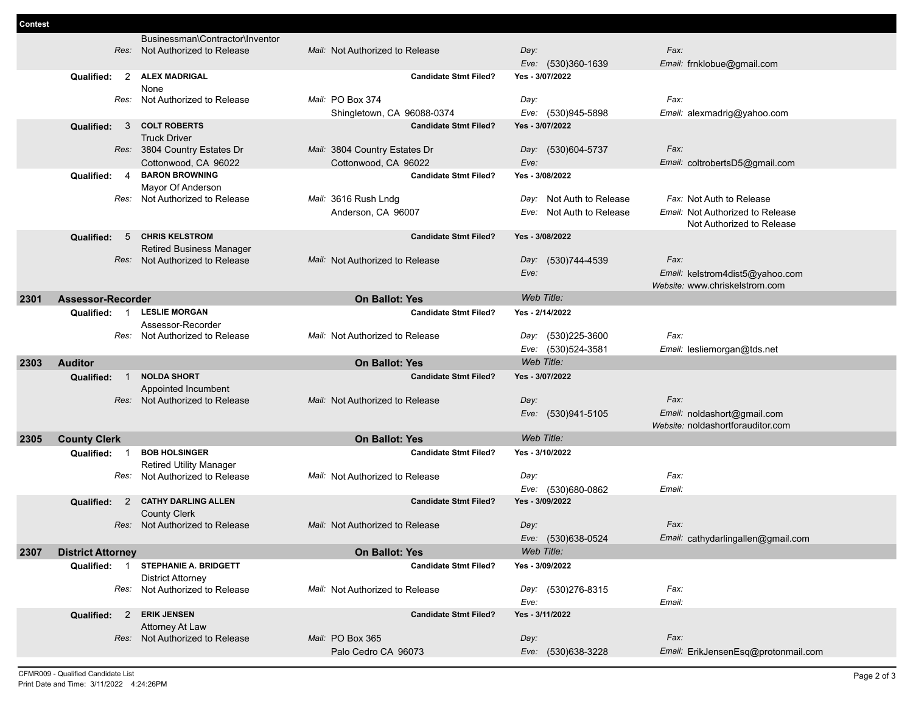|      |                                     | Businessman\Contractor\Inventor    |                                 |                          |                                    |
|------|-------------------------------------|------------------------------------|---------------------------------|--------------------------|------------------------------------|
|      |                                     | Res: Not Authorized to Release     | Mail: Not Authorized to Release | Day:                     | Fax:                               |
|      |                                     |                                    |                                 | Eve: (530)360-1639       | Email: frnklobue@gmail.com         |
|      | Qualified:                          | 2 ALEX MADRIGAL                    | <b>Candidate Stmt Filed?</b>    | Yes - 3/07/2022          |                                    |
|      |                                     | None                               |                                 |                          |                                    |
|      |                                     | Res: Not Authorized to Release     | Mail: PO Box 374                | Day:                     | Fax:                               |
|      |                                     |                                    | Shingletown, CA 96088-0374      | Eve: (530)945-5898       | Email: alexmadrig@yahoo.com        |
|      | Qualified:<br>$\mathbf{3}$          | <b>COLT ROBERTS</b>                | <b>Candidate Stmt Filed?</b>    | Yes - 3/07/2022          |                                    |
|      |                                     | <b>Truck Driver</b>                |                                 |                          |                                    |
|      |                                     | Res: 3804 Country Estates Dr       | Mail: 3804 Country Estates Dr   | Day: (530)604-5737       | Fax:                               |
|      |                                     | Cottonwood, CA 96022               | Cottonwood, CA 96022            | Eve:                     | Email: coltrobertsD5@gmail.com     |
|      | Qualified:<br>4                     | <b>BARON BROWNING</b>              | <b>Candidate Stmt Filed?</b>    | Yes - 3/08/2022          |                                    |
|      |                                     | Mayor Of Anderson                  |                                 |                          |                                    |
|      |                                     | Res: Not Authorized to Release     | Mail: 3616 Rush Lndg            | Day: Not Auth to Release | Fax: Not Auth to Release           |
|      |                                     |                                    | Anderson, CA 96007              | Eve: Not Auth to Release | Email: Not Authorized to Release   |
|      |                                     |                                    |                                 |                          | Not Authorized to Release          |
|      | Qualified:<br>5                     | <b>CHRIS KELSTROM</b>              | <b>Candidate Stmt Filed?</b>    | Yes - 3/08/2022          |                                    |
|      |                                     | <b>Retired Business Manager</b>    |                                 |                          |                                    |
|      | Res:                                | Not Authorized to Release          | Mail: Not Authorized to Release | Day: (530)744-4539       | Fax:                               |
|      |                                     |                                    |                                 | Eve:                     | Email: kelstrom4dist5@yahoo.com    |
|      |                                     |                                    |                                 |                          | Website: www.chriskelstrom.com     |
| 2301 | <b>Assessor-Recorder</b>            |                                    | <b>On Ballot: Yes</b>           | Web Title:               |                                    |
|      | Qualified: 1                        | <b>LESLIE MORGAN</b>               | <b>Candidate Stmt Filed?</b>    | Yes - 2/14/2022          |                                    |
|      |                                     | Assessor-Recorder                  |                                 |                          |                                    |
|      |                                     | Res: Not Authorized to Release     | Mail: Not Authorized to Release | Day: (530)225-3600       | Fax:                               |
|      |                                     |                                    |                                 | Eve: (530)524-3581       | Email: lesliemorgan@tds.net        |
|      |                                     |                                    |                                 |                          |                                    |
|      |                                     |                                    |                                 |                          |                                    |
| 2303 | <b>Auditor</b>                      |                                    | <b>On Ballot: Yes</b>           | Web Title:               |                                    |
|      | <b>Qualified:</b><br>$\overline{1}$ | <b>NOLDA SHORT</b>                 | <b>Candidate Stmt Filed?</b>    | Yes - 3/07/2022          |                                    |
|      |                                     | Appointed Incumbent                |                                 |                          |                                    |
|      | Res:                                | Not Authorized to Release          | Mail: Not Authorized to Release | Day:                     | Fax:                               |
|      |                                     |                                    |                                 | Eve: (530)941-5105       | Email: noldashort@gmail.com        |
|      |                                     |                                    |                                 |                          | Website: noldashortforauditor.com  |
| 2305 | <b>County Clerk</b>                 |                                    | <b>On Ballot: Yes</b>           | Web Title:               |                                    |
|      | Qualified:<br>$\overline{1}$        | <b>BOB HOLSINGER</b>               | <b>Candidate Stmt Filed?</b>    | Yes - 3/10/2022          |                                    |
|      |                                     | <b>Retired Utility Manager</b>     |                                 |                          |                                    |
|      | Res:                                | Not Authorized to Release          | Mail: Not Authorized to Release | Day:                     | Fax:                               |
|      |                                     |                                    |                                 | Eve: (530)680-0862       | Email:                             |
|      | Qualified:<br>$\overline{2}$        | <b>CATHY DARLING ALLEN</b>         | <b>Candidate Stmt Filed?</b>    | Yes - 3/09/2022          |                                    |
|      |                                     | <b>County Clerk</b>                |                                 |                          |                                    |
|      | Res:                                | Not Authorized to Release          | Mail: Not Authorized to Release | Day:                     | Fax:                               |
|      |                                     |                                    |                                 | Eve: (530)638-0524       | Email: cathydarlingallen@gmail.com |
| 2307 | <b>District Attorney</b>            |                                    | <b>On Ballot: Yes</b>           | Web Title:               |                                    |
|      |                                     | Qualified: 1 STEPHANIE A. BRIDGETT | <b>Candidate Stmt Filed?</b>    | Yes - 3/09/2022          |                                    |
|      |                                     | <b>District Attorney</b>           |                                 |                          |                                    |
|      |                                     | Res: Not Authorized to Release     | Mail: Not Authorized to Release | Day: (530)276-8315       | Fax:                               |
|      |                                     |                                    |                                 | Eve:                     | Email:                             |
|      | Qualified: 2                        | <b>ERIK JENSEN</b>                 | <b>Candidate Stmt Filed?</b>    | Yes - 3/11/2022          |                                    |
|      |                                     | Attorney At Law                    |                                 |                          |                                    |
|      |                                     | Res: Not Authorized to Release     | Mail: PO Box 365                | Day:                     | Fax:                               |

**Contest**